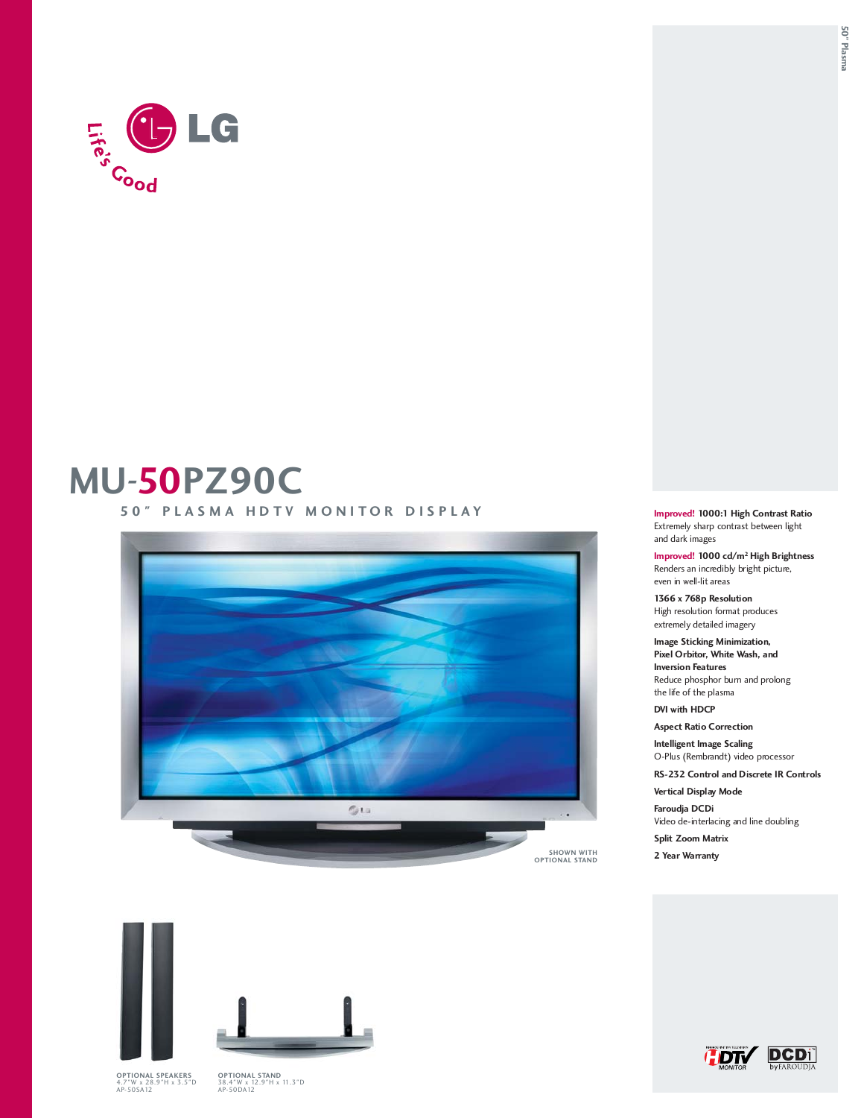

## **MU-50PZ90C**

**50" PLASMA HDTV MONITOR DISPLAY**



**Improved! 1000:1 High Contrast Ratio** Extremely sharp contrast between light and dark images

**Improved! 1000 cd/m2 High Brightness** Renders an incredibly bright picture, even in well-lit areas

**1366 x 768p Resolution** High resolution format produces extremely detailed imagery

**Image Sticking Minimization, Pixel Orbitor, White Wash, and Inversion Features**  Reduce phosphor burn and prolong the life of the plasma

**DVI with HDCP**

**Aspect Ratio Correction**

**Intelligent Image Scaling** O-Plus (Rembrandt) video processor

**RS-232 Control and Discrete IR Controls**

**Vertical Display Mode Faroudja DCDi**

Video de-interlacing and line doubling

**Split Zoom Matrix**

**2 Year Warranty**





**OPTIONAL SPEAKERS**<br>4.7"W x 28.9"H x 3.5"D<br>AP-50SA12

**OPTIONAL STAND**<br>38.4"W x 12.9"H x 11.3"D<br>AP-50DA12